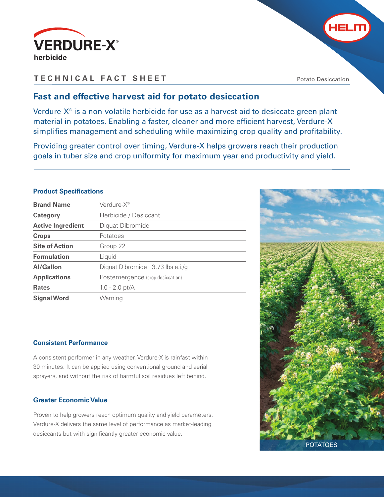



Potato Desiccation

**HELM** 

## **Fast and effective harvest aid for potato desiccation**

Verdure- $X^{\circ}$  is a non-volatile herbicide for use as a harvest aid to desiccate green plant material in potatoes. Enabling a faster, cleaner and more efficient harvest, Verdure-X simplifies management and scheduling while maximizing crop quality and profitability.

Providing greater control over timing, Verdure-X helps growers reach their production goals in tuber size and crop uniformity for maximum year end productivity and yield.

## **Product Specifications**

| <b>Brand Name</b>        | Verdure-X <sup>®</sup>             |
|--------------------------|------------------------------------|
| Category                 | Herbicide / Desiccant              |
| <b>Active Ingredient</b> | Diquat Dibromide                   |
| <b>Crops</b>             | Potatoes                           |
| <b>Site of Action</b>    | Group 22                           |
| <b>Formulation</b>       | Liquid                             |
| <b>Al/Gallon</b>         | Diquat Dibromide $3.73$ lbs a.i./g |
| <b>Applications</b>      | Postemergence (crop desiccation)   |
| <b>Rates</b>             | $1.0 - 2.0$ pt/A                   |
| <b>Signal Word</b>       | Warning                            |

## **Consistent Performance**

A consistent performer in any weather, Verdure-X is rainfast within 30 minutes. It can be applied using conventional ground and aerial sprayers, and without the risk of harmful soil residues left behind.

## **Greater Economic Value**

Proven to help growers reach optimum quality and yield parameters, Verdure-X delivers the same level of performance as market-leading desiccants but with significantly greater economic value.